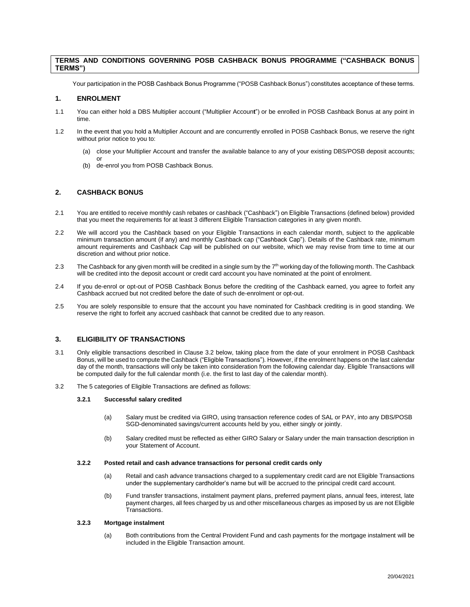# **TERMS AND CONDITIONS GOVERNING POSB CASHBACK BONUS PROGRAMME ("CASHBACK BONUS TERMS")**

Your participation in the POSB Cashback Bonus Programme ("POSB Cashback Bonus") constitutes acceptance of these terms.

## **1. ENROLMENT**

- 1.1 You can either hold a DBS Multiplier account ("Multiplier Accoun**t**") or be enrolled in POSB Cashback Bonus at any point in time.
- 1.2 In the event that you hold a Multiplier Account and are concurrently enrolled in POSB Cashback Bonus, we reserve the right without prior notice to you to:
	- (a) close your Multiplier Account and transfer the available balance to any of your existing DBS/POSB deposit accounts;
	- de-enrol you from POSB Cashback Bonus.

## **2. CASHBACK BONUS**

or

- 2.1 You are entitled to receive monthly cash rebates or cashback ("Cashback") on Eligible Transactions (defined below) provided that you meet the requirements for at least 3 different Eligible Transaction categories in any given month.
- 2.2 We will accord you the Cashback based on your Eligible Transactions in each calendar month, subject to the applicable minimum transaction amount (if any) and monthly Cashback cap ("Cashback Cap"). Details of the Cashback rate, minimum amount requirements and Cashback Cap will be published on our website, which we may revise from time to time at our discretion and without prior notice.
- 2.3 The Cashback for any given month will be credited in a single sum by the 7<sup>th</sup> working day of the following month. The Cashback will be credited into the deposit account or credit card account you have nominated at the point of enrolment.
- 2.4 If you de-enrol or opt-out of POSB Cashback Bonus before the crediting of the Cashback earned, you agree to forfeit any Cashback accrued but not credited before the date of such de-enrolment or opt-out.
- 2.5 You are solely responsible to ensure that the account you have nominated for Cashback crediting is in good standing. We reserve the right to forfeit any accrued cashback that cannot be credited due to any reason.

## **3. ELIGIBILITY OF TRANSACTIONS**

- 3.1 Only eligible transactions described in Clause 3.2 below, taking place from the date of your enrolment in POSB Cashback Bonus, will be used to compute the Cashback ("Eligible Transactions"). However, if the enrolment happens on the last calendar day of the month, transactions will only be taken into consideration from the following calendar day. Eligible Transactions will be computed daily for the full calendar month (i.e. the first to last day of the calendar month).
- 3.2 The 5 categories of Eligible Transactions are defined as follows:

### **3.2.1 Successful salary credited**

- (a) Salary must be credited via GIRO, using transaction reference codes of SAL or PAY, into any DBS/POSB SGD-denominated savings/current accounts held by you, either singly or jointly.
- (b) Salary credited must be reflected as either GIRO Salary or Salary under the main transaction description in your Statement of Account.

#### **3.2.2 Posted retail and cash advance transactions for personal credit cards only**

- (a) Retail and cash advance transactions charged to a supplementary credit card are not Eligible Transactions under the supplementary cardholder's name but will be accrued to the principal credit card account.
- (b) Fund transfer transactions, instalment payment plans, preferred payment plans, annual fees, interest, late payment charges, all fees charged by us and other miscellaneous charges as imposed by us are not Eligible Transactions.

# **3.2.3 Mortgage instalment**

(a) Both contributions from the Central Provident Fund and cash payments for the mortgage instalment will be included in the Eligible Transaction amount.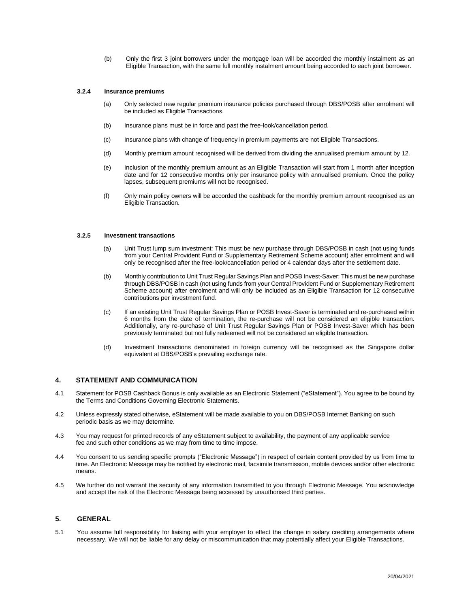(b) Only the first 3 joint borrowers under the mortgage loan will be accorded the monthly instalment as an Eligible Transaction, with the same full monthly instalment amount being accorded to each joint borrower.

#### **3.2.4 Insurance premiums**

- (a) Only selected new regular premium insurance policies purchased through DBS/POSB after enrolment will be included as Eligible Transactions.
- (b) Insurance plans must be in force and past the free-look/cancellation period.
- (c) Insurance plans with change of frequency in premium payments are not Eligible Transactions.
- (d) Monthly premium amount recognised will be derived from dividing the annualised premium amount by 12.
- (e) Inclusion of the monthly premium amount as an Eligible Transaction will start from 1 month after inception date and for 12 consecutive months only per insurance policy with annualised premium. Once the policy lapses, subsequent premiums will not be recognised.
- (f) Only main policy owners will be accorded the cashback for the monthly premium amount recognised as an Eligible Transaction.

# **3.2.5 Investment transactions**

- (a) Unit Trust lump sum investment: This must be new purchase through DBS/POSB in cash (not using funds from your Central Provident Fund or Supplementary Retirement Scheme account) after enrolment and will only be recognised after the free-look/cancellation period or 4 calendar days after the settlement date.
- (b) Monthly contribution to Unit Trust Regular Savings Plan and POSB Invest-Saver: This must be new purchase through DBS/POSB in cash (not using funds from your Central Provident Fund or Supplementary Retirement Scheme account) after enrolment and will only be included as an Eligible Transaction for 12 consecutive contributions per investment fund.
- (c) If an existing Unit Trust Regular Savings Plan or POSB Invest-Saver is terminated and re-purchased within 6 months from the date of termination, the re-purchase will not be considered an eligible transaction. Additionally, any re-purchase of Unit Trust Regular Savings Plan or POSB Invest-Saver which has been previously terminated but not fully redeemed will not be considered an eligible transaction.
- (d) Investment transactions denominated in foreign currency will be recognised as the Singapore dollar equivalent at DBS/POSB's prevailing exchange rate.

## **4. STATEMENT AND COMMUNICATION**

- 4.1 Statement for POSB Cashback Bonus is only available as an Electronic Statement ("eStatement"). You agree to be bound by the Terms and Conditions Governing Electronic Statements.
- 4.2 Unless expressly stated otherwise, eStatement will be made available to you on DBS/POSB Internet Banking on such periodic basis as we may determine.
- 4.3 You may request for printed records of any eStatement subject to availability, the payment of any applicable service fee and such other conditions as we may from time to time impose.
- 4.4 You consent to us sending specific prompts ("Electronic Message") in respect of certain content provided by us from time to time. An Electronic Message may be notified by electronic mail, facsimile transmission, mobile devices and/or other electronic means.
- 4.5 We further do not warrant the security of any information transmitted to you through Electronic Message. You acknowledge and accept the risk of the Electronic Message being accessed by unauthorised third parties.

# **5. GENERAL**

5.1 You assume full responsibility for liaising with your employer to effect the change in salary crediting arrangements where necessary. We will not be liable for any delay or miscommunication that may potentially affect your Eligible Transactions.